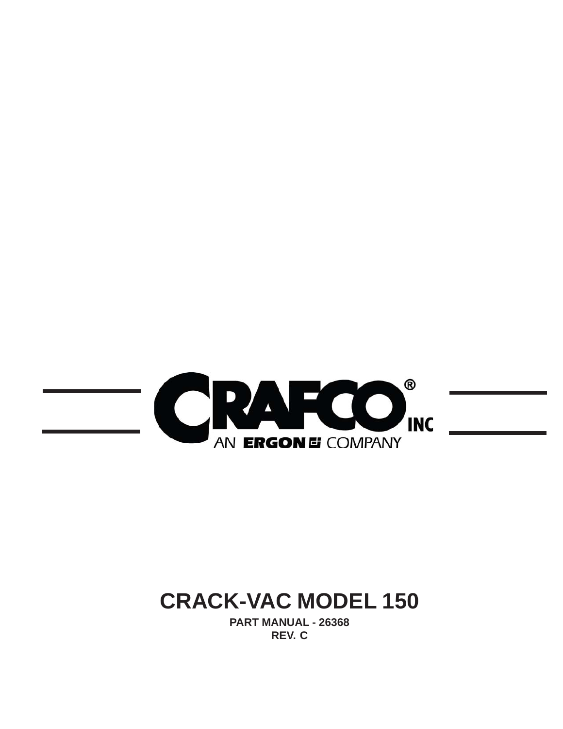

# **CRACK-VAC MODEL 150**

**PART MANUAL - 26368 REV. C**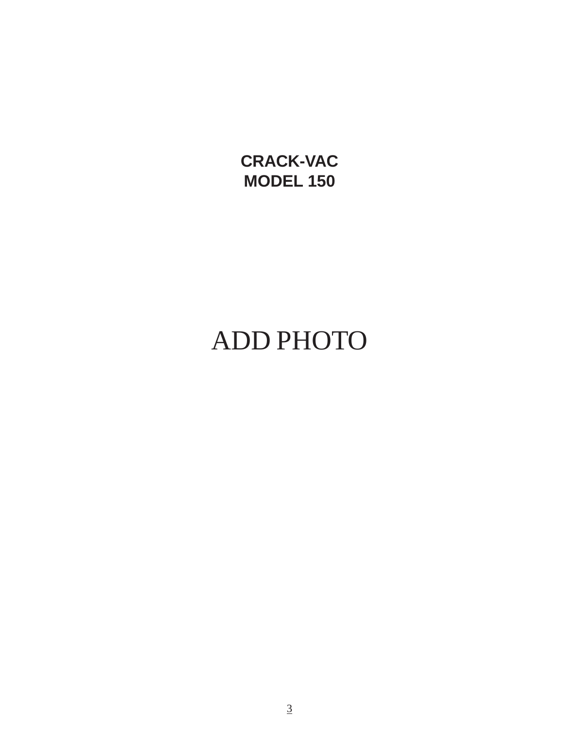**CRACK-VAC MODEL 150**

# ADD PHOTO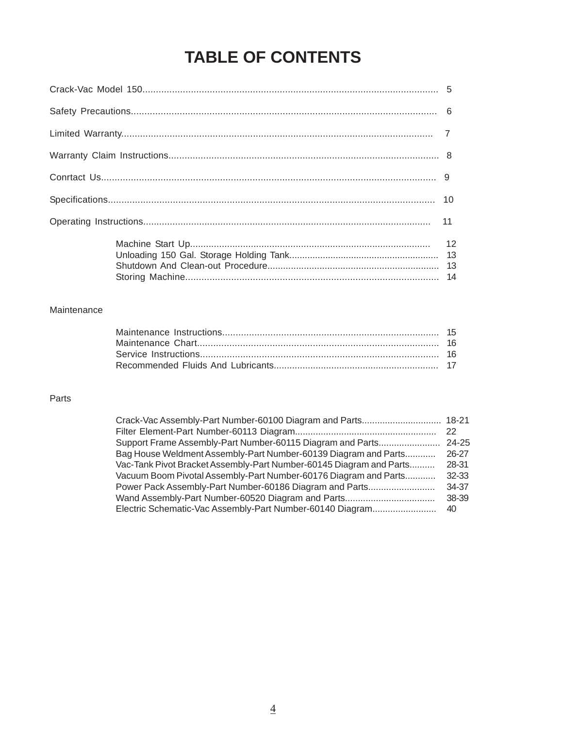### **TABLE OF CONTENTS**

#### Maintenance

#### Parts

|                                                                     | 22        |
|---------------------------------------------------------------------|-----------|
| Support Frame Assembly-Part Number-60115 Diagram and Parts          | 24-25     |
| Bag House Weldment Assembly-Part Number-60139 Diagram and Parts     | 26-27     |
| Vac-Tank Pivot Bracket Assembly-Part Number-60145 Diagram and Parts | 28-31     |
| Vacuum Boom Pivotal Assembly-Part Number-60176 Diagram and Parts    | $32 - 33$ |
| Power Pack Assembly-Part Number-60186 Diagram and Parts             | 34-37     |
|                                                                     | 38-39     |
| Electric Schematic-Vac Assembly-Part Number-60140 Diagram           | 40        |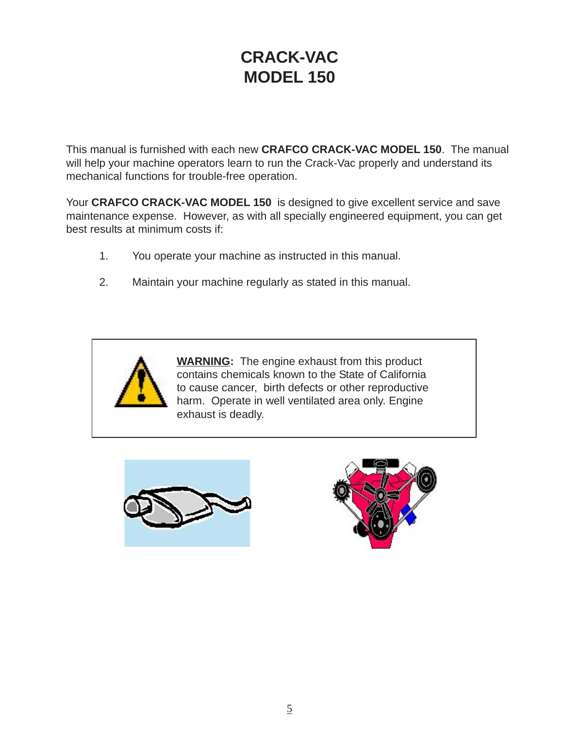#### **CRACK-VAC MODEL 150**

This manual is furnished with each new **CRAFCO CRACK-VAC MODEL 150**. The manual will help your machine operators learn to run the Crack-Vac properly and understand its mechanical functions for trouble-free operation.

Your **CRAFCO CRACK-VAC MODEL 150** is designed to give excellent service and save maintenance expense. However, as with all specially engineered equipment, you can get best results at minimum costs if:

- 1. You operate your machine as instructed in this manual.
- 2. Maintain your machine regularly as stated in this manual.



**WARNING:** The engine exhaust from this product contains chemicals known to the State of California to cause cancer, birth defects or other reproductive harm. Operate in well ventilated area only. Engine exhaust is deadly.



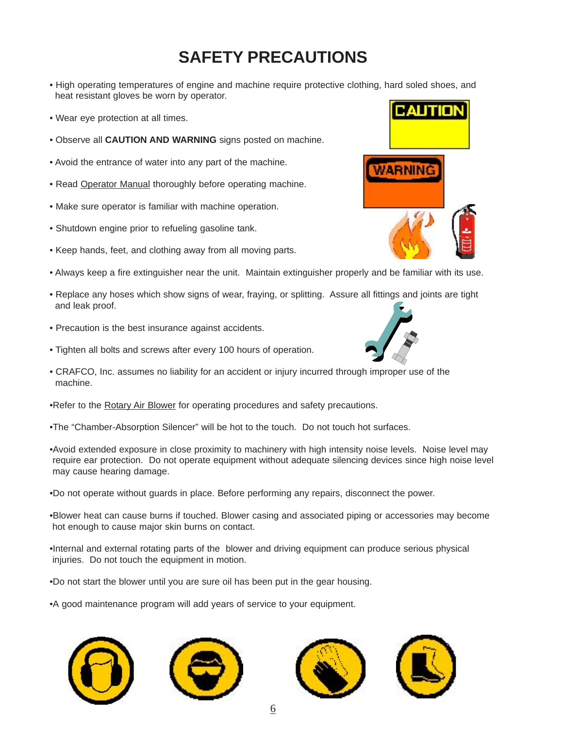#### **SAFETY PRECAUTIONS**

- High operating temperatures of engine and machine require protective clothing, hard soled shoes, and heat resistant gloves be worn by operator.
- Wear eye protection at all times.
- Observe all **CAUTION AND WARNING** signs posted on machine.
- Avoid the entrance of water into any part of the machine.
- Read Operator Manual thoroughly before operating machine.
- Make sure operator is familiar with machine operation.
- Shutdown engine prior to refueling gasoline tank.
- Keep hands, feet, and clothing away from all moving parts.
- Always keep a fire extinguisher near the unit. Maintain extinguisher properly and be familiar with its use.
- Replace any hoses which show signs of wear, fraying, or splitting. Assure all fittings and joints are tight and leak proof.
- Precaution is the best insurance against accidents.
- Tighten all bolts and screws after every 100 hours of operation.
- CRAFCO, Inc. assumes no liability for an accident or injury incurred through improper use of the machine.
- •Refer to the Rotary Air Blower for operating procedures and safety precautions.
- •The "Chamber-Absorption Silencer" will be hot to the touch. Do not touch hot surfaces.
- •Avoid extended exposure in close proximity to machinery with high intensity noise levels. Noise level may require ear protection. Do not operate equipment without adequate silencing devices since high noise level may cause hearing damage.
- •Do not operate without guards in place. Before performing any repairs, disconnect the power.
- •Blower heat can cause burns if touched. Blower casing and associated piping or accessories may become hot enough to cause major skin burns on contact.
- •Internal and external rotating parts of the blower and driving equipment can produce serious physical injuries. Do not touch the equipment in motion.
- •Do not start the blower until you are sure oil has been put in the gear housing.
- •A good maintenance program will add years of service to your equipment.









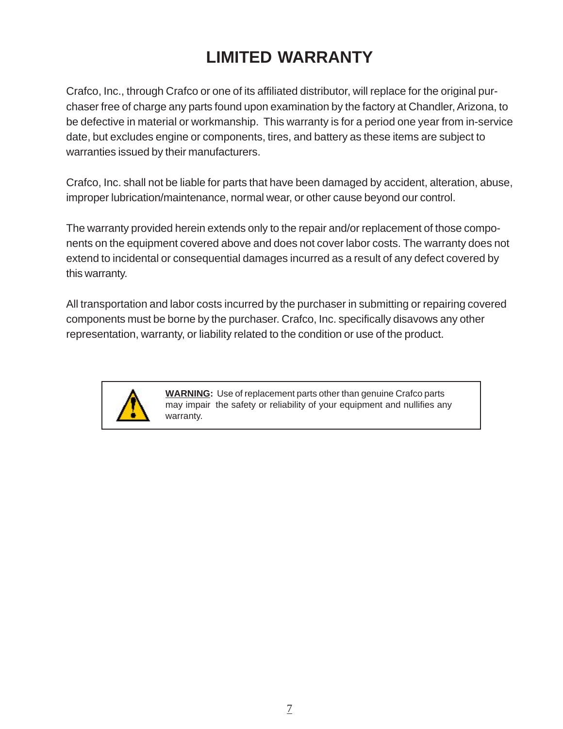## **LIMITED WARRANTY**

Crafco, Inc., through Crafco or one of its affiliated distributor, will replace for the original purchaser free of charge any parts found upon examination by the factory at Chandler, Arizona, to be defective in material or workmanship. This warranty is for a period one year from in-service date, but excludes engine or components, tires, and battery as these items are subject to warranties issued by their manufacturers.

Crafco, Inc. shall not be liable for parts that have been damaged by accident, alteration, abuse, improper lubrication/maintenance, normal wear, or other cause beyond our control.

The warranty provided herein extends only to the repair and/or replacement of those components on the equipment covered above and does not cover labor costs. The warranty does not extend to incidental or consequential damages incurred as a result of any defect covered by this warranty.

All transportation and labor costs incurred by the purchaser in submitting or repairing covered components must be borne by the purchaser. Crafco, Inc. specifically disavows any other representation, warranty, or liability related to the condition or use of the product.



**WARNING:** Use of replacement parts other than genuine Crafco parts may impair the safety or reliability of your equipment and nullifies any warranty.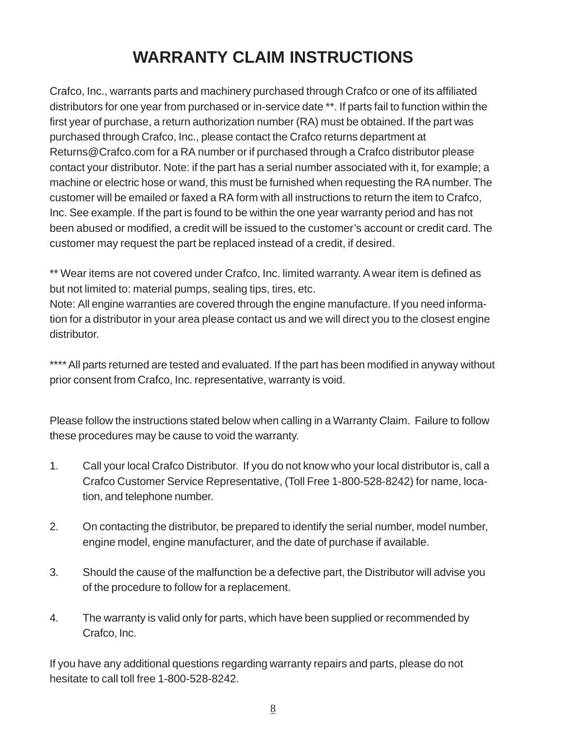### **WARRANTY CLAIM INSTRUCTIONS**

Crafco, Inc., warrants parts and machinery purchased through Crafco or one of its affiliated distributors for one year from purchased or in-service date \*\*. If parts fail to function within the first year of purchase, a return authorization number (RA) must be obtained. If the part was purchased through Crafco, Inc., please contact the Crafco returns department at Returns@Crafco.com for a RA number or if purchased through a Crafco distributor please contact your distributor. Note: if the part has a serial number associated with it, for example; a machine or electric hose or wand, this must be furnished when requesting the RA number. The customer will be emailed or faxed a RA form with all instructions to return the item to Crafco, Inc. See example. If the part is found to be within the one year warranty period and has not been abused or modified, a credit will be issued to the customer's account or credit card. The customer may request the part be replaced instead of a credit, if desired.

\*\* Wear items are not covered under Crafco, Inc. limited warranty. A wear item is defined as but not limited to: material pumps, sealing tips, tires, etc.

Note: All engine warranties are covered through the engine manufacture. If you need information for a distributor in your area please contact us and we will direct you to the closest engine distributor.

\*\*\*\* All parts returned are tested and evaluated. If the part has been modified in anyway without prior consent from Crafco, Inc. representative, warranty is void.

Please follow the instructions stated below when calling in a Warranty Claim. Failure to follow these procedures may be cause to void the warranty.

- 1. Call your local Crafco Distributor. If you do not know who your local distributor is, call a Crafco Customer Service Representative, (Toll Free 1-800-528-8242) for name, location, and telephone number.
- 2. On contacting the distributor, be prepared to identify the serial number, model number, engine model, engine manufacturer, and the date of purchase if available.
- 3. Should the cause of the malfunction be a defective part, the Distributor will advise you of the procedure to follow for a replacement.
- 4. The warranty is valid only for parts, which have been supplied or recommended by Crafco, Inc.

If you have any additional questions regarding warranty repairs and parts, please do not hesitate to call toll free 1-800-528-8242.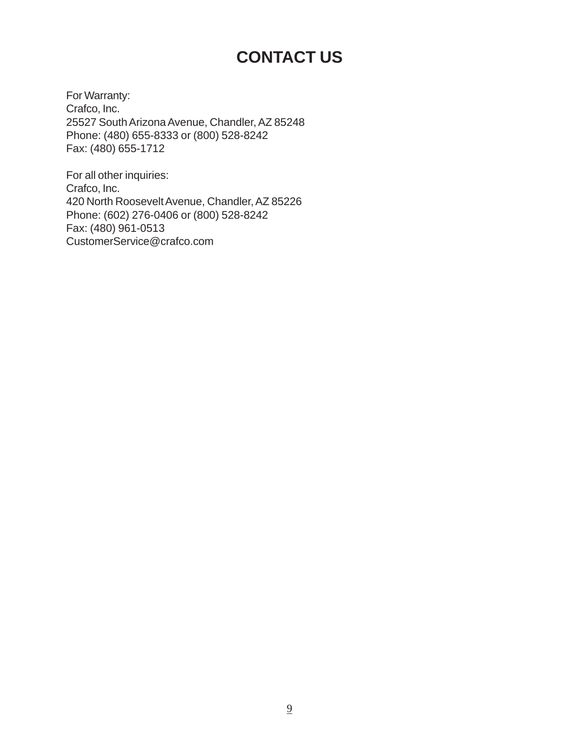#### **CONTACT US**

For Warranty: Crafco, Inc. 25527 South Arizona Avenue, Chandler, AZ 85248 Phone: (480) 655-8333 or (800) 528-8242 Fax: (480) 655-1712

For all other inquiries: Crafco, Inc. 420 North Roosevelt Avenue, Chandler, AZ 85226 Phone: (602) 276-0406 or (800) 528-8242 Fax: (480) 961-0513 CustomerService@crafco.com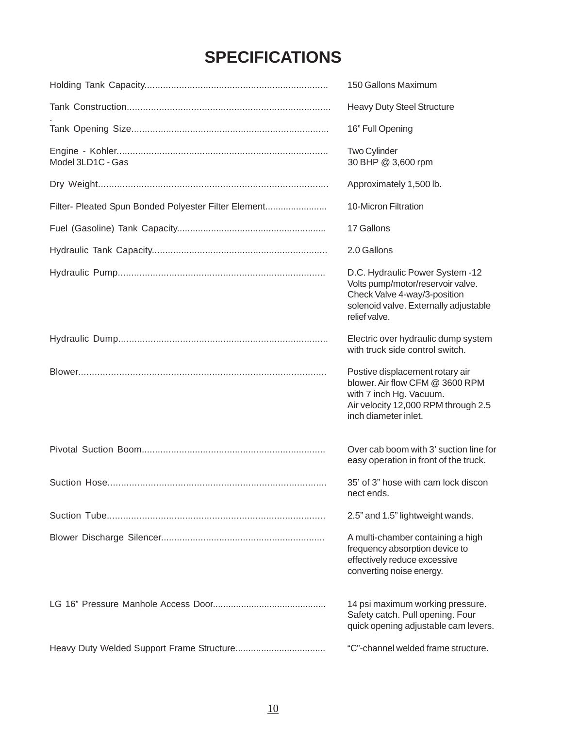### **SPECIFICATIONS**

|                                                      | 150 Gallons Maximum                                                                                                                                            |
|------------------------------------------------------|----------------------------------------------------------------------------------------------------------------------------------------------------------------|
|                                                      | <b>Heavy Duty Steel Structure</b>                                                                                                                              |
|                                                      | 16" Full Opening                                                                                                                                               |
| Model 3LD1C - Gas                                    | Two Cylinder<br>30 BHP @ 3,600 rpm                                                                                                                             |
|                                                      | Approximately 1,500 lb.                                                                                                                                        |
| Filter- Pleated Spun Bonded Polyester Filter Element | 10-Micron Filtration                                                                                                                                           |
|                                                      | 17 Gallons                                                                                                                                                     |
|                                                      | 2.0 Gallons                                                                                                                                                    |
|                                                      | D.C. Hydraulic Power System -12<br>Volts pump/motor/reservoir valve.<br>Check Valve 4-way/3-position<br>solenoid valve. Externally adjustable<br>relief valve. |
|                                                      | Electric over hydraulic dump system<br>with truck side control switch.                                                                                         |
|                                                      | Postive displacement rotary air<br>blower. Air flow CFM @ 3600 RPM<br>with 7 inch Hg. Vacuum.<br>Air velocity 12,000 RPM through 2.5<br>inch diameter inlet.   |
|                                                      | Over cab boom with 3' suction line for<br>easy operation in front of the truck.                                                                                |
|                                                      | 35' of 3" hose with cam lock discon<br>nect ends.                                                                                                              |
|                                                      | 2.5" and 1.5" lightweight wands.                                                                                                                               |
|                                                      | A multi-chamber containing a high<br>frequency absorption device to<br>effectively reduce excessive<br>converting noise energy.                                |
|                                                      | 14 psi maximum working pressure.<br>Safety catch. Pull opening. Four<br>quick opening adjustable cam levers.                                                   |
|                                                      | "C"-channel welded frame structure.                                                                                                                            |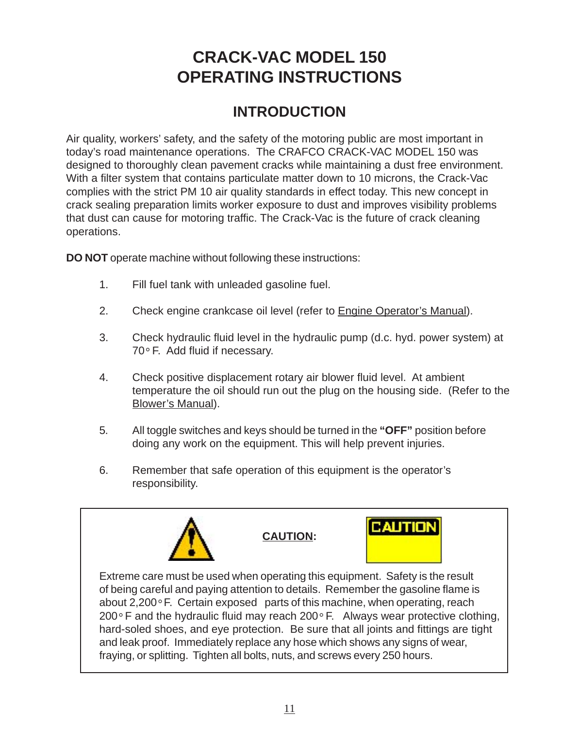#### **CRACK-VAC MODEL 150 OPERATING INSTRUCTIONS**

#### **INTRODUCTION**

Air quality, workers' safety, and the safety of the motoring public are most important in today's road maintenance operations. The CRAFCO CRACK-VAC MODEL 150 was designed to thoroughly clean pavement cracks while maintaining a dust free environment. With a filter system that contains particulate matter down to 10 microns, the Crack-Vac complies with the strict PM 10 air quality standards in effect today. This new concept in crack sealing preparation limits worker exposure to dust and improves visibility problems that dust can cause for motoring traffic. The Crack-Vac is the future of crack cleaning operations.

**DO NOT** operate machine without following these instructions:

- 1. Fill fuel tank with unleaded gasoline fuel.
- 2. Check engine crankcase oil level (refer to Engine Operator's Manual).
- 3. Check hydraulic fluid level in the hydraulic pump (d.c. hyd. power system) at 70° F. Add fluid if necessary.
- 4. Check positive displacement rotary air blower fluid level. At ambient temperature the oil should run out the plug on the housing side. (Refer to the Blower's Manual).
- 5. All toggle switches and keys should be turned in the **"OFF"** position before doing any work on the equipment. This will help prevent injuries.
- 6. Remember that safe operation of this equipment is the operator's responsibility.



**CAUTION:**



Extreme care must be used when operating this equipment. Safety is the result of being careful and paying attention to details. Remember the gasoline flame is about 2,200° F. Certain exposed parts of this machine, when operating, reach 200 $\degree$  F and the hydraulic fluid may reach 200 $\degree$  F. Always wear protective clothing, hard-soled shoes, and eye protection. Be sure that all joints and fittings are tight and leak proof. Immediately replace any hose which shows any signs of wear, fraying, or splitting. Tighten all bolts, nuts, and screws every 250 hours.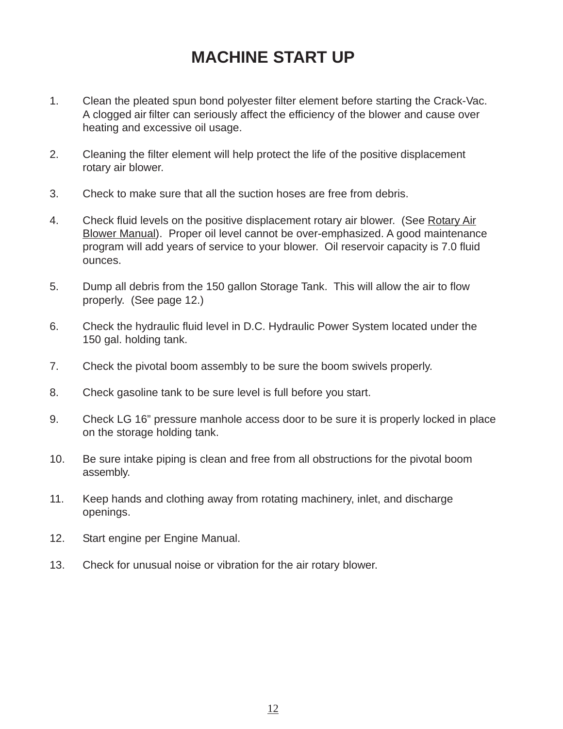#### **MACHINE START UP**

- 1. Clean the pleated spun bond polyester filter element before starting the Crack-Vac. A clogged air filter can seriously affect the efficiency of the blower and cause over heating and excessive oil usage.
- 2. Cleaning the filter element will help protect the life of the positive displacement rotary air blower.
- 3. Check to make sure that all the suction hoses are free from debris.
- 4. Check fluid levels on the positive displacement rotary air blower. (See Rotary Air Blower Manual). Proper oil level cannot be over-emphasized. A good maintenance program will add years of service to your blower. Oil reservoir capacity is 7.0 fluid ounces.
- 5. Dump all debris from the 150 gallon Storage Tank. This will allow the air to flow properly. (See page 12.)
- 6. Check the hydraulic fluid level in D.C. Hydraulic Power System located under the 150 gal. holding tank.
- 7. Check the pivotal boom assembly to be sure the boom swivels properly.
- 8. Check gasoline tank to be sure level is full before you start.
- 9. Check LG 16" pressure manhole access door to be sure it is properly locked in place on the storage holding tank.
- 10. Be sure intake piping is clean and free from all obstructions for the pivotal boom assembly.
- 11. Keep hands and clothing away from rotating machinery, inlet, and discharge openings.
- 12. Start engine per Engine Manual.
- 13. Check for unusual noise or vibration for the air rotary blower.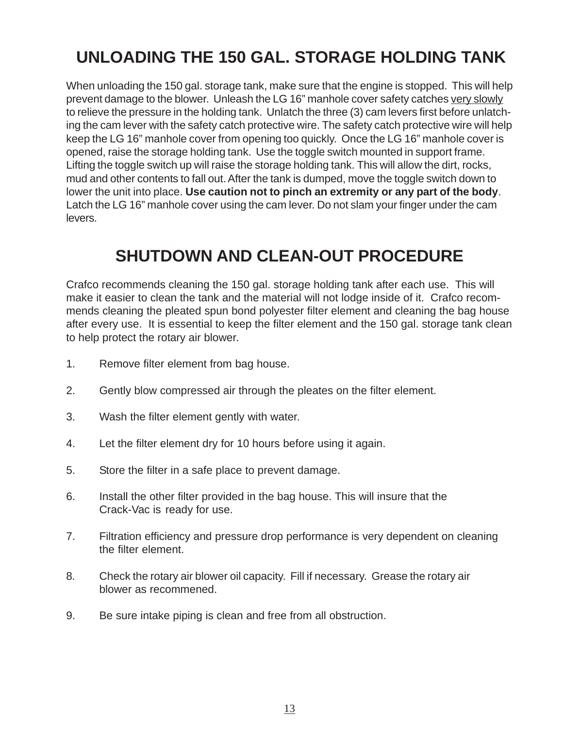### **UNLOADING THE 150 GAL. STORAGE HOLDING TANK**

When unloading the 150 gal. storage tank, make sure that the engine is stopped. This will help prevent damage to the blower. Unleash the LG 16" manhole cover safety catches very slowly to relieve the pressure in the holding tank. Unlatch the three (3) cam levers first before unlatching the cam lever with the safety catch protective wire. The safety catch protective wire will help keep the LG 16" manhole cover from opening too quickly. Once the LG 16" manhole cover is opened, raise the storage holding tank. Use the toggle switch mounted in support frame. Lifting the toggle switch up will raise the storage holding tank. This will allow the dirt, rocks, mud and other contents to fall out. After the tank is dumped, move the toggle switch down to lower the unit into place. **Use caution not to pinch an extremity or any part of the body**. Latch the LG 16" manhole cover using the cam lever. Do not slam your finger under the cam levers.

#### **SHUTDOWN AND CLEAN-OUT PROCEDURE**

Crafco recommends cleaning the 150 gal. storage holding tank after each use. This will make it easier to clean the tank and the material will not lodge inside of it. Crafco recommends cleaning the pleated spun bond polyester filter element and cleaning the bag house after every use. It is essential to keep the filter element and the 150 gal. storage tank clean to help protect the rotary air blower.

- 1. Remove filter element from bag house.
- 2. Gently blow compressed air through the pleates on the filter element.
- 3. Wash the filter element gently with water.
- 4. Let the filter element dry for 10 hours before using it again.
- 5. Store the filter in a safe place to prevent damage.
- 6. Install the other filter provided in the bag house. This will insure that the Crack-Vac is ready for use.
- 7. Filtration efficiency and pressure drop performance is very dependent on cleaning the filter element.
- 8. Check the rotary air blower oil capacity. Fill if necessary. Grease the rotary air blower as recommened.
- 9. Be sure intake piping is clean and free from all obstruction.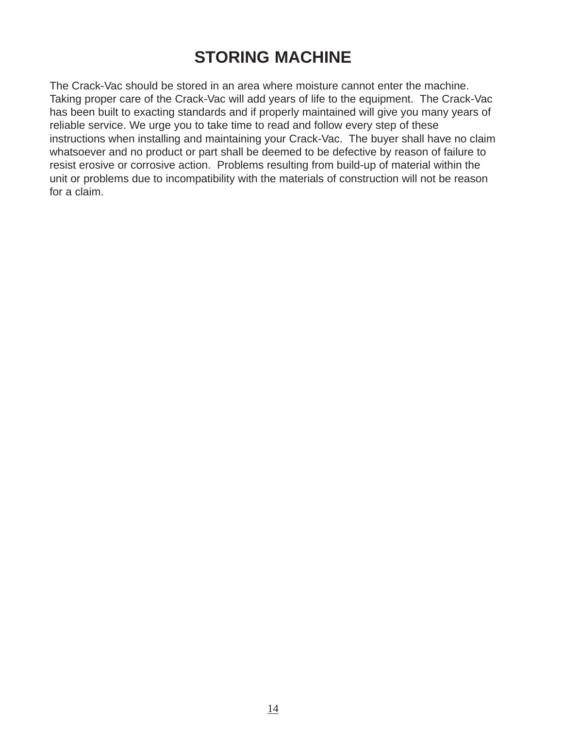#### **STORING MACHINE**

The Crack-Vac should be stored in an area where moisture cannot enter the machine. Taking proper care of the Crack-Vac will add years of life to the equipment. The Crack-Vac has been built to exacting standards and if properly maintained will give you many years of reliable service. We urge you to take time to read and follow every step of these instructions when installing and maintaining your Crack-Vac. The buyer shall have no claim whatsoever and no product or part shall be deemed to be defective by reason of failure to resist erosive or corrosive action. Problems resulting from build-up of material within the unit or problems due to incompatibility with the materials of construction will not be reason for a claim.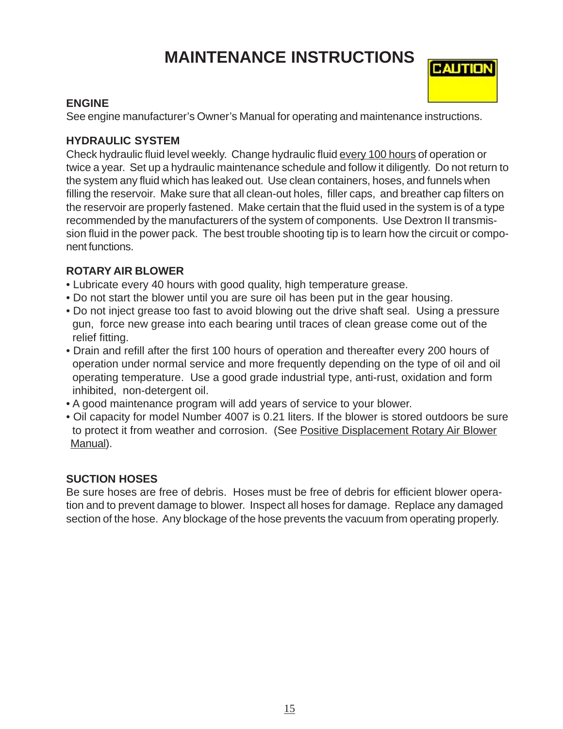### **MAINTENANCE INSTRUCTIONS**



#### **ENGINE**

See engine manufacturer's Owner's Manual for operating and maintenance instructions.

#### **HYDRAULIC SYSTEM**

Check hydraulic fluid level weekly. Change hydraulic fluid every 100 hours of operation or twice a year. Set up a hydraulic maintenance schedule and follow it diligently. Do not return to the system any fluid which has leaked out. Use clean containers, hoses, and funnels when filling the reservoir. Make sure that all clean-out holes, filler caps, and breather cap filters on the reservoir are properly fastened. Make certain that the fluid used in the system is of a type recommended by the manufacturers of the system of components. Use Dextron II transmission fluid in the power pack. The best trouble shooting tip is to learn how the circuit or component functions.

#### **ROTARY AIR BLOWER**

- Lubricate every 40 hours with good quality, high temperature grease.
- Do not start the blower until you are sure oil has been put in the gear housing.
- Do not inject grease too fast to avoid blowing out the drive shaft seal. Using a pressure gun, force new grease into each bearing until traces of clean grease come out of the relief fitting.
- Drain and refill after the first 100 hours of operation and thereafter every 200 hours of operation under normal service and more frequently depending on the type of oil and oil operating temperature. Use a good grade industrial type, anti-rust, oxidation and form inhibited, non-detergent oil.
- A good maintenance program will add years of service to your blower.
- Oil capacity for model Number 4007 is 0.21 liters. If the blower is stored outdoors be sure to protect it from weather and corrosion. (See Positive Displacement Rotary Air Blower Manual).

#### **SUCTION HOSES**

Be sure hoses are free of debris. Hoses must be free of debris for efficient blower operation and to prevent damage to blower. Inspect all hoses for damage. Replace any damaged section of the hose. Any blockage of the hose prevents the vacuum from operating properly.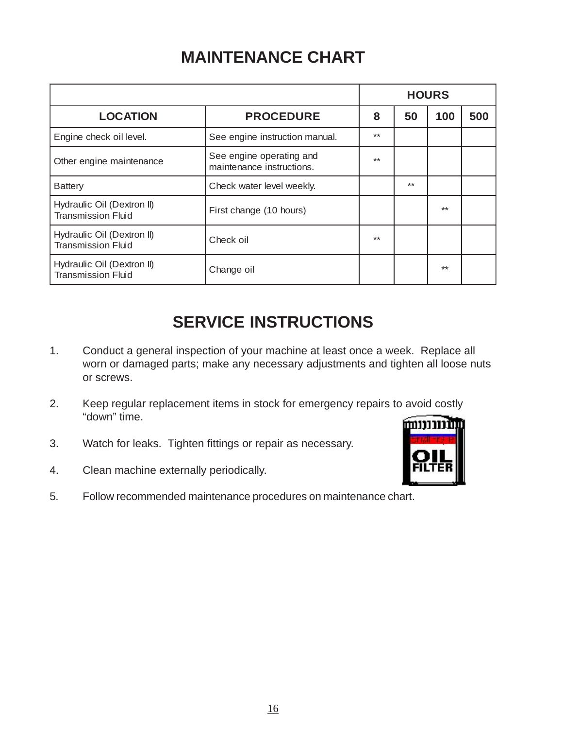#### **MAINTENANCE CHART**

|                                                         |                                                       |       |       | <b>HOURS</b> |     |
|---------------------------------------------------------|-------------------------------------------------------|-------|-------|--------------|-----|
| <b>LOCATION</b>                                         | <b>PROCEDURE</b>                                      | 8     | 50    | 100          | 500 |
| Engine check oil level.                                 | See engine instruction manual.                        | $***$ |       |              |     |
| Other engine maintenance                                | See engine operating and<br>maintenance instructions. | $***$ |       |              |     |
| <b>Battery</b>                                          | Check water level weekly.                             |       | $***$ |              |     |
| Hydraulic Oil (Dextron II)<br><b>Transmission Fluid</b> | First change (10 hours)                               |       |       | $***$        |     |
| Hydraulic Oil (Dextron II)<br><b>Transmission Fluid</b> | Check oil                                             | $***$ |       |              |     |
| Hydraulic Oil (Dextron II)<br><b>Transmission Fluid</b> | Change oil                                            |       |       | $***$        |     |

#### **SERVICE INSTRUCTIONS**

- 1. Conduct a general inspection of your machine at least once a week. Replace all worn or damaged parts; make any necessary adjustments and tighten all loose nuts or screws.
- 2. Keep regular replacement items in stock for emergency repairs to avoid costly "down" time.
- 3. Watch for leaks. Tighten fittings or repair as necessary.
- 4. Clean machine externally periodically.



5. Follow recommended maintenance procedures on maintenance chart.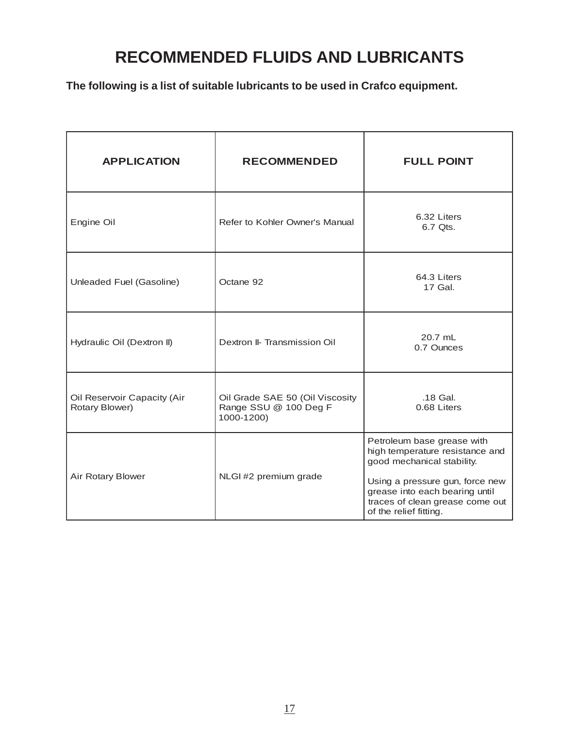#### **RECOMMENDED FLUIDS AND LUBRICANTS**

**The following is a list of suitable lubricants to be used in Crafco equipment.**

| <b>APPLICATION</b>                            | <b>RECOMMENDED</b>                                                     | <b>FULL POINT</b>                                                                                                                                                                                                             |
|-----------------------------------------------|------------------------------------------------------------------------|-------------------------------------------------------------------------------------------------------------------------------------------------------------------------------------------------------------------------------|
| Engine Oil                                    | Refer to Kohler Owner's Manual                                         | 6.32 Liters<br>6.7 Ots.                                                                                                                                                                                                       |
| Unleaded Fuel (Gasoline)                      | Octane 92                                                              | 64.3 Liters<br>17 Gal.                                                                                                                                                                                                        |
| Hydraulic Oil (Dextron II)                    | Dextron II- Transmission Oil                                           | 20.7 mL<br>0.7 Ounces                                                                                                                                                                                                         |
| Oil Reservoir Capacity (Air<br>Rotary Blower) | Oil Grade SAE 50 (Oil Viscosity<br>Range SSU @ 100 Deg F<br>1000-1200) | .18 Gal.<br>0.68 Liters                                                                                                                                                                                                       |
| Air Rotary Blower                             | NLGI #2 premium grade                                                  | Petroleum base grease with<br>high temperature resistance and<br>good mechanical stability.<br>Using a pressure gun, force new<br>grease into each bearing until<br>traces of clean grease come out<br>of the relief fitting. |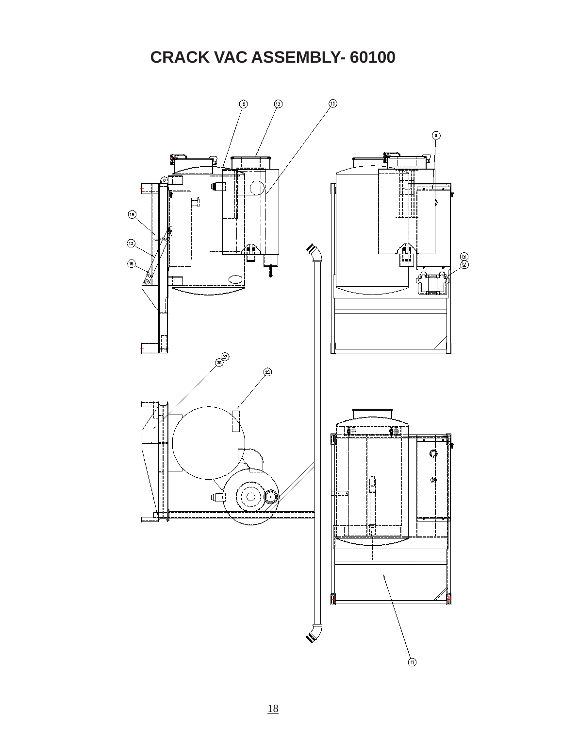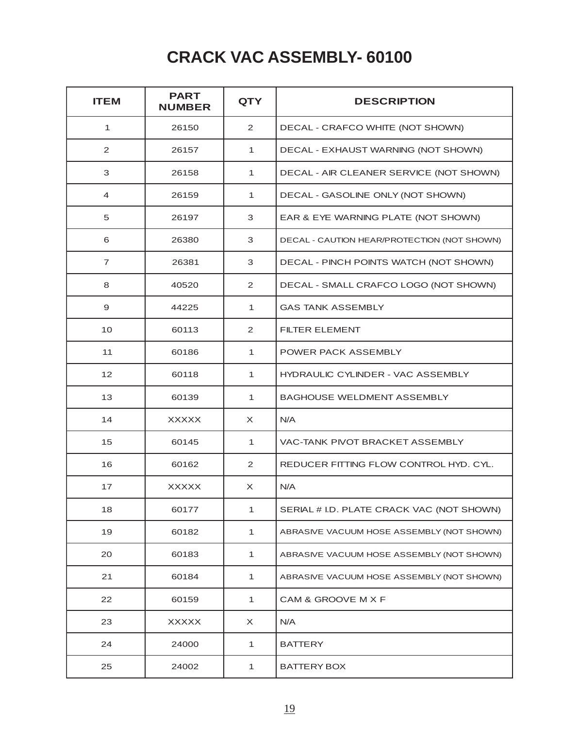#### **CRACK VAC ASSEMBLY- 60100**

| <b>ITEM</b>    | <b>PART</b><br><b>NUMBER</b> | <b>QTY</b>     | <b>DESCRIPTION</b>                          |
|----------------|------------------------------|----------------|---------------------------------------------|
| $\mathbf{1}$   | 26150                        | 2              | DECAL - CRAFCO WHITE (NOT SHOWN)            |
| 2              | 26157                        | $\mathbf{1}$   | DECAL - EXHAUST WARNING (NOT SHOWN)         |
| 3              | 26158                        | $\mathbf{1}$   | DECAL - AIR CLEANER SERVICE (NOT SHOWN)     |
| 4              | 26159                        | 1              | DECAL - GASOLINE ONLY (NOT SHOWN)           |
| 5              | 26197                        | 3              | EAR & EYE WARNING PLATE (NOT SHOWN)         |
| 6              | 26380                        | 3              | DECAL - CAUTION HEAR/PROTECTION (NOT SHOWN) |
| $\overline{7}$ | 26381                        | 3              | DECAL - PINCH POINTS WATCH (NOT SHOWN)      |
| 8              | 40520                        | $\overline{2}$ | DECAL - SMALL CRAFCO LOGO (NOT SHOWN)       |
| 9              | 44225                        | $\mathbf{1}$   | <b>GAS TANK ASSEMBLY</b>                    |
| 10             | 60113                        | 2              | <b>FILTER ELEMENT</b>                       |
| 11             | 60186                        | $\mathbf{1}$   | <b>POWER PACK ASSEMBLY</b>                  |
| 12             | 60118                        | $\mathbf{1}$   | HYDRAULIC CYLINDER - VAC ASSEMBLY           |
| 13             | 60139                        | $\mathbf{1}$   | <b>BAGHOUSE WELDMENT ASSEMBLY</b>           |
| 14             | <b>XXXXX</b>                 | $\times$       | N/A                                         |
| 15             | 60145                        | $\mathbf{1}$   | VAC-TANK PIVOT BRACKET ASSEMBLY             |
| 16             | 60162                        | 2              | REDUCER FITTING FLOW CONTROL HYD. CYL.      |
| 17             | <b>XXXXX</b>                 | X.             | N/A                                         |
| 18             | 60177                        | $\mathbf{1}$   | SERIAL # I.D. PLATE CRACK VAC (NOT SHOWN)   |
| 19             | 60182                        | $\mathbf{1}$   | ABRASIVE VACUUM HOSE ASSEMBLY (NOT SHOWN)   |
| 20             | 60183                        | 1              | ABRASIVE VACUUM HOSE ASSEMBLY (NOT SHOWN)   |
| 21             | 60184                        | $\mathbf{1}$   | ABRASIVE VACUUM HOSE ASSEMBLY (NOT SHOWN)   |
| 22             | 60159                        | $\mathbf{1}$   | CAM & GROOVE M X F                          |
| 23             | <b>XXXXX</b>                 | $\times$       | N/A                                         |
| 24             | 24000                        | $\mathbf{1}$   | <b>BATTERY</b>                              |
| 25             | 24002                        | $\mathbf{1}$   | <b>BATTERY BOX</b>                          |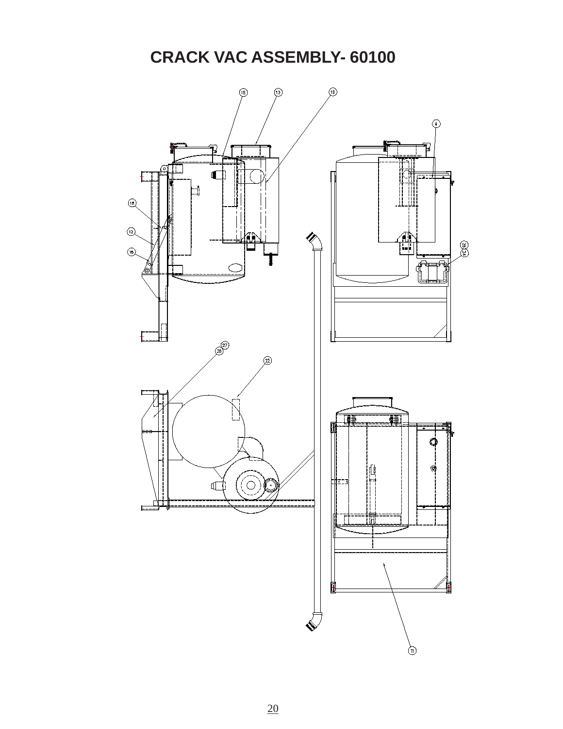#### **CRACK VAC ASSEMBLY- 60100**

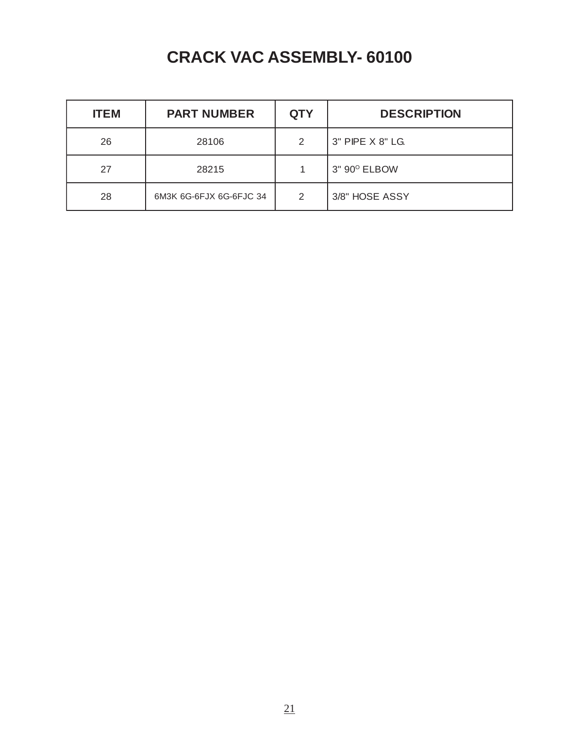#### **CRACK VAC ASSEMBLY- 60100**

| <b>ITEM</b> | <b>PART NUMBER</b>      | <b>QTY</b> | <b>DESCRIPTION</b> |
|-------------|-------------------------|------------|--------------------|
| 26          | 28106                   | 2          | 3" PIPE X 8" LG.   |
| 27          | 28215                   |            | 3" 90° ELBOW       |
| 28          | 6M3K 6G-6FJX 6G-6FJC 34 |            | 3/8" HOSE ASSY     |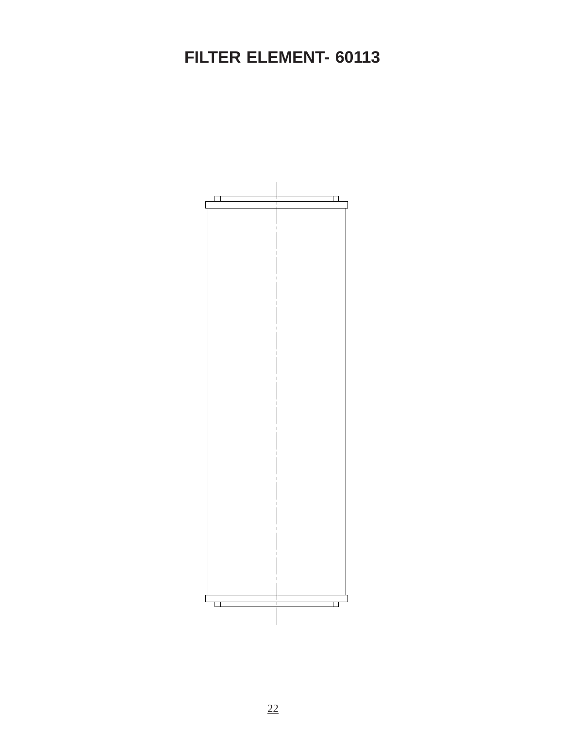#### **FILTER ELEMENT- 60113**

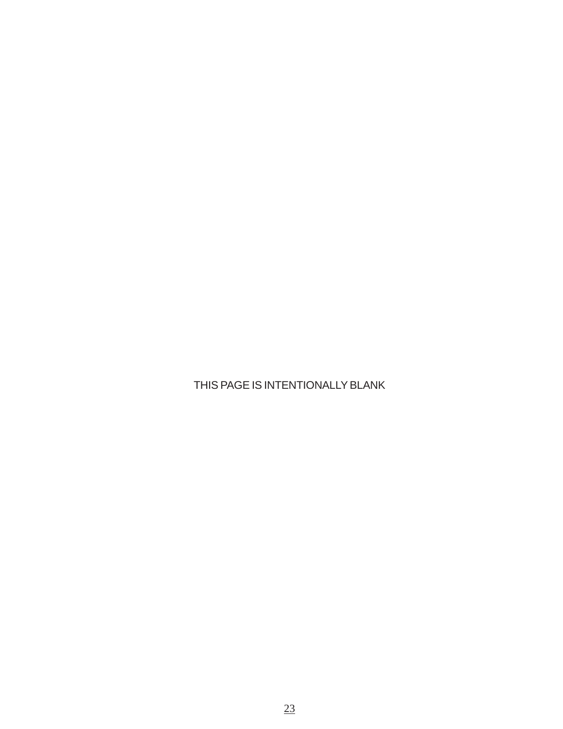THIS PAGE IS INTENTIONALLY BLANK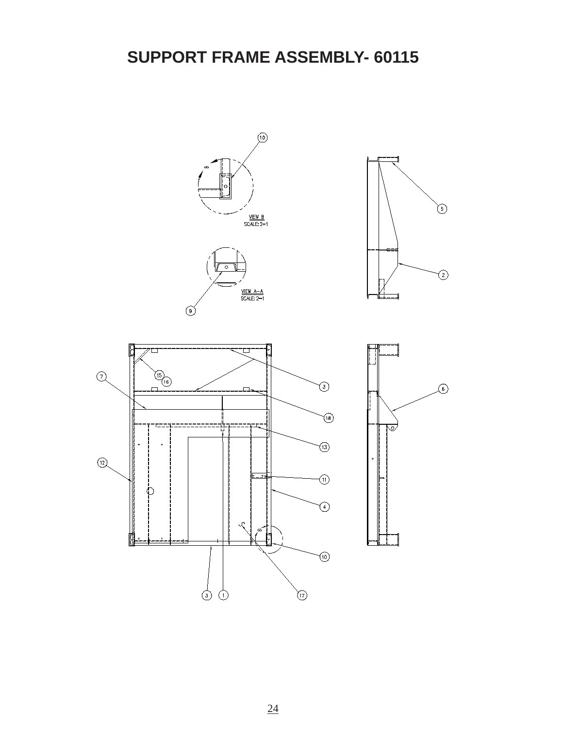#### **SUPPORT FRAME ASSEMBLY- 60115**

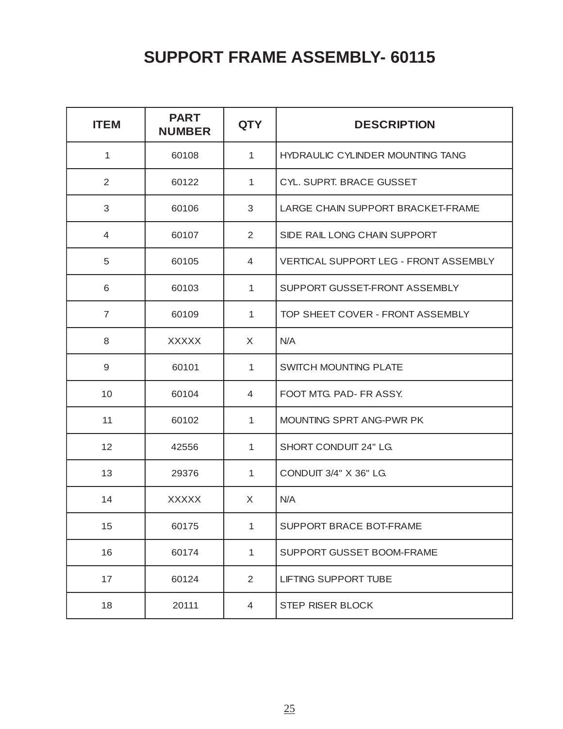#### **SUPPORT FRAME ASSEMBLY- 60115**

| <b>ITEM</b>    | <b>PART</b><br><b>NUMBER</b> | <b>QTY</b>     | <b>DESCRIPTION</b>                    |
|----------------|------------------------------|----------------|---------------------------------------|
| 1              | 60108                        | $\mathbf{1}$   | HYDRAULIC CYLINDER MOUNTING TANG      |
| 2              | 60122                        | 1              | CYL. SUPRT. BRACE GUSSET              |
| 3              | 60106                        | 3              | LARGE CHAIN SUPPORT BRACKET-FRAME     |
| 4              | 60107                        | 2              | SIDE RAIL LONG CHAIN SUPPORT          |
| 5              | 60105                        | 4              | VERTICAL SUPPORT LEG - FRONT ASSEMBLY |
| 6              | 60103                        | $\mathbf{1}$   | SUPPORT GUSSET-FRONT ASSEMBLY         |
| $\overline{7}$ | 60109                        | $\mathbf{1}$   | TOP SHEET COVER - FRONT ASSEMBLY      |
| 8              | <b>XXXXX</b>                 | X              | N/A                                   |
| 9              | 60101                        | $\mathbf{1}$   | <b>SWITCH MOUNTING PLATE</b>          |
| 10             | 60104                        | 4              | FOOT MTG. PAD- FR ASSY.               |
| 11             | 60102                        | $\mathbf{1}$   | MOUNTING SPRT ANG-PWR PK              |
| 12             | 42556                        | $\mathbf{1}$   | SHORT CONDUIT 24" LG.                 |
| 13             | 29376                        | $\mathbf{1}$   | CONDUIT 3/4" X 36" LG.                |
| 14             | <b>XXXXX</b>                 | $\times$       | N/A                                   |
| 15             | 60175                        | $\mathbf{1}$   | SUPPORT BRACE BOT-FRAME               |
| 16             | 60174                        | $\mathbf{1}$   | SUPPORT GUSSET BOOM-FRAME             |
| 17             | 60124                        | $\overline{2}$ | <b>LIFTING SUPPORT TUBE</b>           |
| 18             | 20111                        | $\overline{4}$ | STEP RISER BLOCK                      |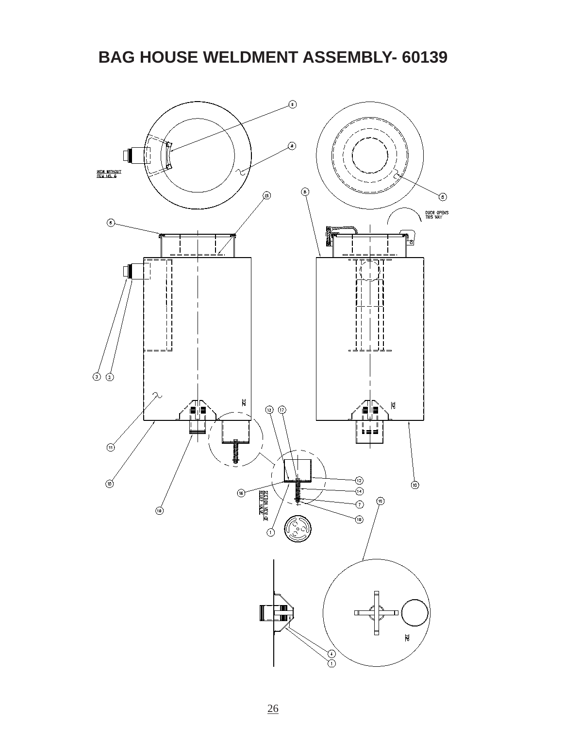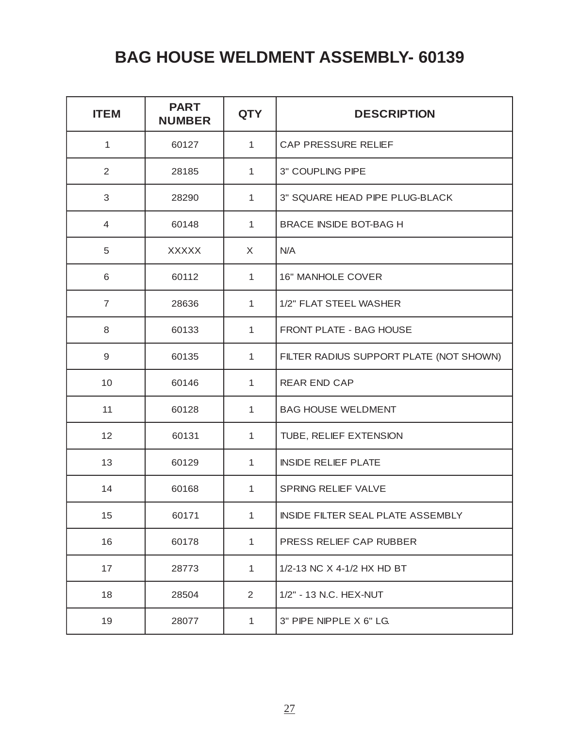#### **BAG HOUSE WELDMENT ASSEMBLY- 60139**

| <b>ITEM</b>    | <b>PART</b><br><b>NUMBER</b> | <b>QTY</b>     | <b>DESCRIPTION</b>                      |
|----------------|------------------------------|----------------|-----------------------------------------|
| $\mathbf{1}$   | 60127                        | $\mathbf{1}$   | <b>CAP PRESSURE RELIEF</b>              |
| $\overline{2}$ | 28185                        | $\mathbf{1}$   | 3" COUPLING PIPE                        |
| 3              | 28290                        | $\mathbf{1}$   | 3" SQUARE HEAD PIPE PLUG-BLACK          |
| 4              | 60148                        | $\mathbf{1}$   | <b>BRACE INSIDE BOT-BAG H</b>           |
| 5              | <b>XXXXX</b>                 | $\times$       | N/A                                     |
| 6              | 60112                        | $\mathbf{1}$   | <b>16" MANHOLE COVER</b>                |
| $\overline{7}$ | 28636                        | $\mathbf{1}$   | 1/2" FLAT STEEL WASHER                  |
| 8              | 60133                        | $\mathbf{1}$   | <b>FRONT PLATE - BAG HOUSE</b>          |
| 9              | 60135                        | $\mathbf{1}$   | FILTER RADIUS SUPPORT PLATE (NOT SHOWN) |
| 10             | 60146                        | $\mathbf{1}$   | <b>REAR END CAP</b>                     |
| 11             | 60128                        | $\mathbf{1}$   | <b>BAG HOUSE WELDMENT</b>               |
| 12             | 60131                        | $\mathbf{1}$   | TUBE, RELIEF EXTENSION                  |
| 13             | 60129                        | $\mathbf{1}$   | <b>INSIDE RELIEF PLATE</b>              |
| 14             | 60168                        | $\mathbf{1}$   | <b>SPRING RELIEF VALVE</b>              |
| 15             | 60171                        | $\mathbf{1}$   | INSIDE FILTER SEAL PLATE ASSEMBLY       |
| 16             | 60178                        | $\mathbf{1}$   | PRESS RELIEF CAP RUBBER                 |
| 17             | 28773                        | $\mathbf{1}$   | 1/2-13 NC X 4-1/2 HX HD BT              |
| 18             | 28504                        | $\overline{2}$ | 1/2" - 13 N.C. HEX-NUT                  |
| 19             | 28077                        | $\mathbf{1}$   | 3" PIPE NIPPLE X 6" LG.                 |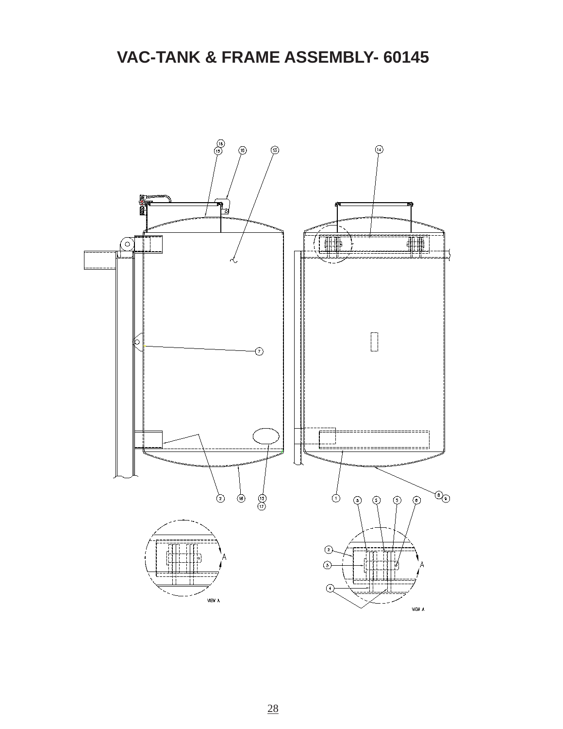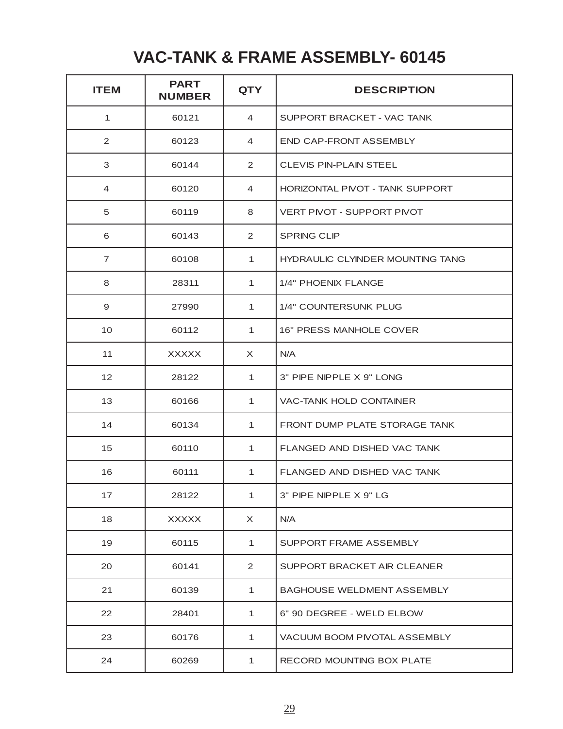#### **VAC-TANK & FRAME ASSEMBLY- 60145**

| <b>ITEM</b>    | <b>PART</b><br><b>NUMBER</b> | <b>QTY</b>     | <b>DESCRIPTION</b>               |
|----------------|------------------------------|----------------|----------------------------------|
| $\mathbf{1}$   | 60121                        | 4              | SUPPORT BRACKET - VAC TANK       |
| 2              | 60123                        | 4              | END CAP-FRONT ASSEMBLY           |
| 3              | 60144                        | $\overline{2}$ | CLEVIS PIN-PLAIN STEEL           |
| 4              | 60120                        | 4              | HORIZONTAL PIVOT - TANK SUPPORT  |
| 5              | 60119                        | 8              | VERT PIVOT - SUPPORT PIVOT       |
| 6              | 60143                        | 2              | <b>SPRING CLIP</b>               |
| $\overline{7}$ | 60108                        | $\mathbf{1}$   | HYDRAULIC CLYINDER MOUNTING TANG |
| 8              | 28311                        | $\mathbf{1}$   | 1/4" PHOENIX FLANGE              |
| 9              | 27990                        | $\mathbf{1}$   | 1/4" COUNTERSUNK PLUG            |
| 10             | 60112                        | $\mathbf{1}$   | <b>16" PRESS MANHOLE COVER</b>   |
| 11             | <b>XXXXX</b>                 | X.             | N/A                              |
| 12             | 28122                        | $\mathbf{1}$   | 3" PIPE NIPPLE X 9" LONG         |
| 13             | 60166                        | $\mathbf{1}$   | VAC-TANK HOLD CONTAINER          |
| 14             | 60134                        | $\mathbf{1}$   | FRONT DUMP PLATE STORAGE TANK    |
| 15             | 60110                        | $\mathbf{1}$   | FLANGED AND DISHED VAC TANK      |
| 16             | 60111                        | $\mathbf{1}$   | FLANGED AND DISHED VAC TANK      |
| 17             | 28122                        | $\mathbf 1$    | 3" PIPE NIPPLE X 9" LG           |
| 18             | <b>XXXXX</b>                 | X              | N/A                              |
| 19             | 60115                        | $\mathbf{1}$   | SUPPORT FRAME ASSEMBLY           |
| 20             | 60141                        | $\overline{2}$ | SUPPORT BRACKET AIR CLEANER      |
| 21             | 60139                        | $\mathbf{1}$   | BAGHOUSE WELDMENT ASSEMBLY       |
| 22             | 28401                        | 1.             | 6" 90 DEGREE - WELD ELBOW        |
| 23             | 60176                        | $\mathbf{1}$   | VACUUM BOOM PIVOTAL ASSEMBLY     |
| 24             | 60269                        | 1.             | RECORD MOUNTING BOX PLATE        |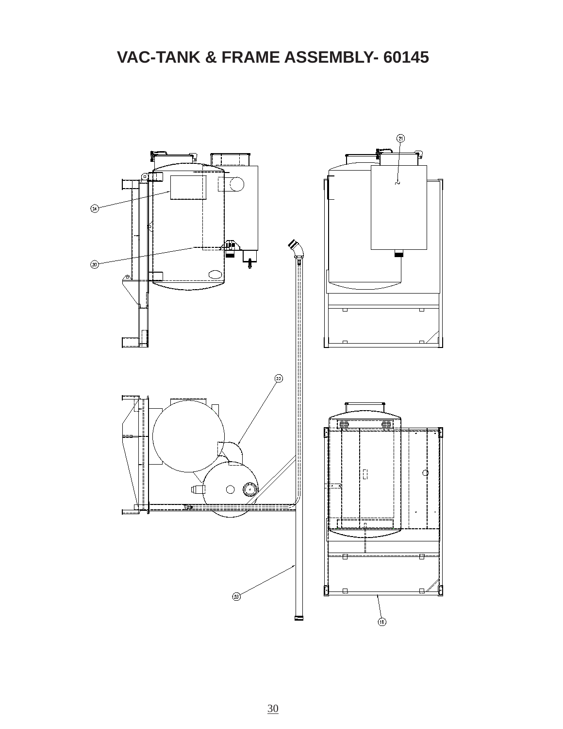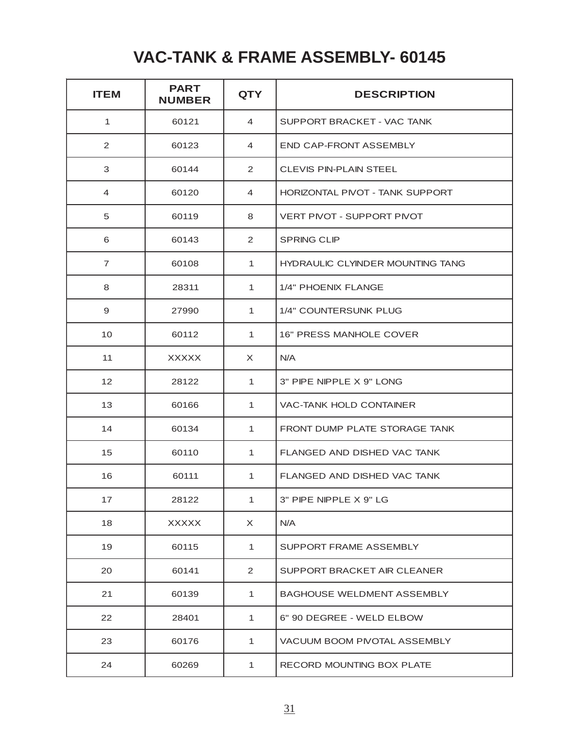#### **VAC-TANK & FRAME ASSEMBLY- 60145**

| <b>ITEM</b>    | <b>PART</b><br><b>NUMBER</b> | <b>QTY</b>   | <b>DESCRIPTION</b>                |
|----------------|------------------------------|--------------|-----------------------------------|
| $\mathbf{1}$   | 60121                        | 4            | SUPPORT BRACKET - VAC TANK        |
| 2              | 60123                        | 4            | END CAP-FRONT ASSEMBLY            |
| 3              | 60144                        | 2            | CLEVIS PIN-PLAIN STEEL            |
| 4              | 60120                        | 4            | HORIZONTAL PIVOT - TANK SUPPORT   |
| 5              | 60119                        | 8            | <b>VERT PIVOT - SUPPORT PIVOT</b> |
| 6              | 60143                        | 2            | <b>SPRING CLIP</b>                |
| $\overline{7}$ | 60108                        | $\mathbf{1}$ | HYDRAULIC CLYINDER MOUNTING TANG  |
| 8              | 28311                        | $\mathbf{1}$ | 1/4" PHOENIX FLANGE               |
| 9              | 27990                        | $\mathbf{1}$ | 1/4" COUNTERSUNK PLUG             |
| 10             | 60112                        | $\mathbf{1}$ | <b>16" PRESS MANHOLE COVER</b>    |
| 11             | <b>XXXXX</b>                 | X.           | N/A                               |
| 12             | 28122                        | $\mathbf{1}$ | 3" PIPE NIPPLE X 9" LONG          |
| 13             | 60166                        | $\mathbf{1}$ | VAC-TANK HOLD CONTAINER           |
| 14             | 60134                        | $\mathbf{1}$ | FRONT DUMP PLATE STORAGE TANK     |
| 15             | 60110                        | $\mathbf{1}$ | FLANGED AND DISHED VAC TANK       |
| 16             | 60111                        | $\mathbf{1}$ | FLANGED AND DISHED VAC TANK       |
| 17             | 28122                        | $\mathbf{1}$ | 3" PIPE NIPPLE X 9" LG            |
| 18             | <b>XXXXX</b>                 | $\times$     | N/A                               |
| 19             | 60115                        | $\mathbf{1}$ | SUPPORT FRAME ASSEMBLY            |
| 20             | 60141                        | 2            | SUPPORT BRACKET AIR CLEANER       |
| 21             | 60139                        | $\mathbf{1}$ | BAGHOUSE WELDMENT ASSEMBLY        |
| 22             | 28401                        | $\mathbf{1}$ | 6" 90 DEGREE - WELD ELBOW         |
| 23             | 60176                        | 1.           | VACUUM BOOM PIVOTAL ASSEMBLY      |
| 24             | 60269                        | $\mathbf{1}$ | RECORD MOUNTING BOX PLATE         |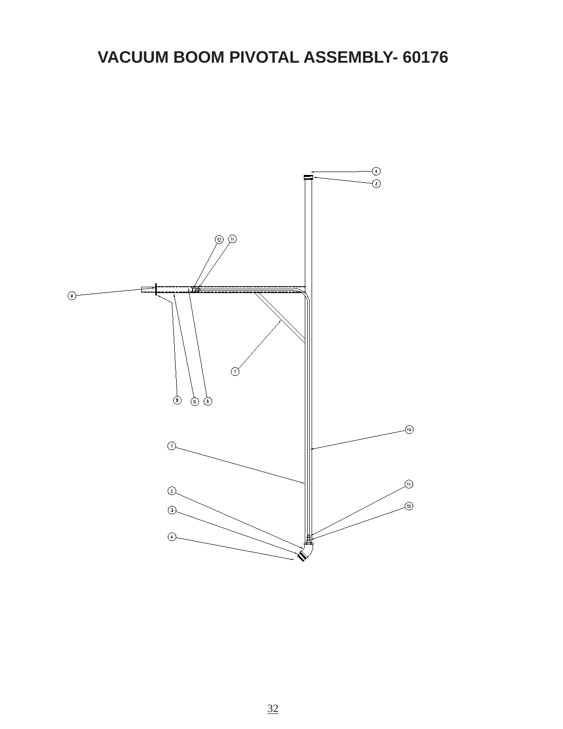#### **VACUUM BOOM PIVOTAL ASSEMBLY- 60176**

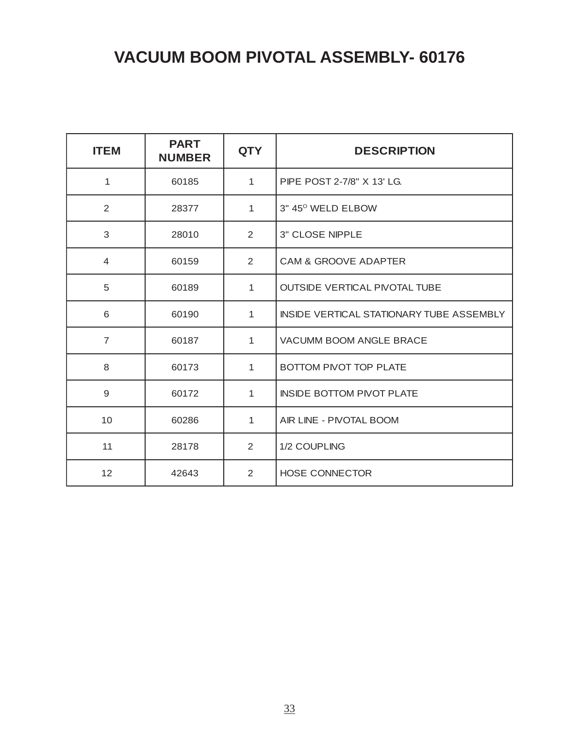### **VACUUM BOOM PIVOTAL ASSEMBLY- 60176**

| <b>ITEM</b>    | <b>PART</b><br><b>NUMBER</b> | <b>QTY</b>     | <b>DESCRIPTION</b>                              |
|----------------|------------------------------|----------------|-------------------------------------------------|
| 1              | 60185                        | $\mathbf{1}$   | PIPE POST 2-7/8" X 13' LG.                      |
| 2              | 28377                        | $\mathbf{1}$   | 3" 45° WELD ELBOW                               |
| 3              | 28010                        | $\overline{2}$ | 3" CLOSE NIPPLE                                 |
| 4              | 60159                        | $\overline{2}$ | <b>CAM &amp; GROOVE ADAPTER</b>                 |
| 5              | 60189                        | $\mathbf{1}$   | <b>OUTSIDE VERTICAL PIVOTAL TUBE</b>            |
| 6              | 60190                        | $\mathbf{1}$   | <b>INSIDE VERTICAL STATIONARY TUBE ASSEMBLY</b> |
| $\overline{7}$ | 60187                        | $\mathbf{1}$   | <b>VACUMM BOOM ANGLE BRACE</b>                  |
| 8              | 60173                        | $\mathbf{1}$   | <b>BOTTOM PIVOT TOP PLATE</b>                   |
| 9              | 60172                        | $\mathbf{1}$   | <b>INSIDE BOTTOM PIVOT PLATE</b>                |
| 10             | 60286                        | $\mathbf{1}$   | AIR LINE - PIVOTAL BOOM                         |
| 11             | 28178                        | 2              | 1/2 COUPLING                                    |
| 12             | 42643                        | 2              | <b>HOSE CONNECTOR</b>                           |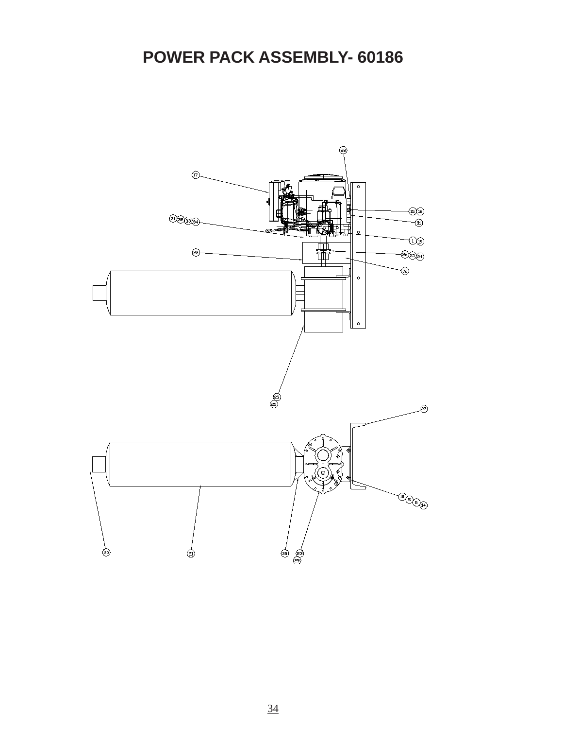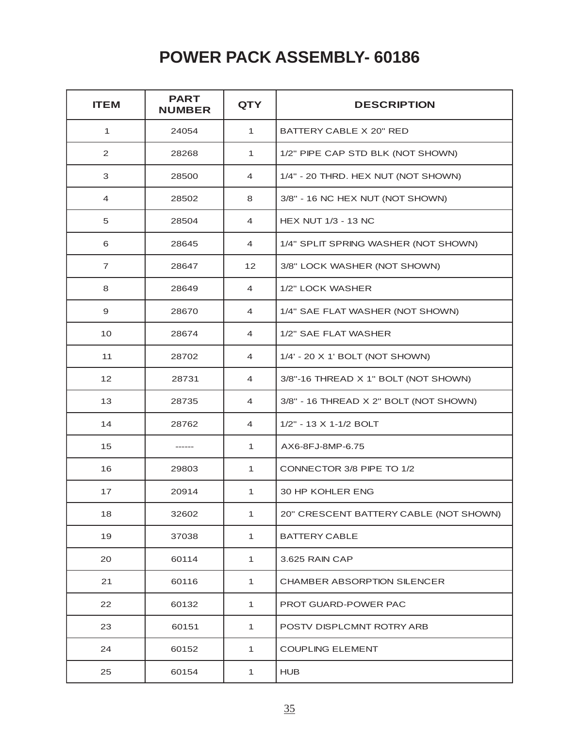| <b>ITEM</b>    | <b>PART</b><br><b>NUMBER</b> | <b>QTY</b>     | <b>DESCRIPTION</b>                     |
|----------------|------------------------------|----------------|----------------------------------------|
| $\mathbf{1}$   | 24054                        | $\mathbf{1}$   | BATTERY CABLE X 20" RED                |
| $\overline{2}$ | 28268                        | $\mathbf{1}$   | 1/2" PIPE CAP STD BLK (NOT SHOWN)      |
| 3              | 28500                        | 4              | 1/4" - 20 THRD. HEX NUT (NOT SHOWN)    |
| 4              | 28502                        | 8              | 3/8" - 16 NC HEX NUT (NOT SHOWN)       |
| 5              | 28504                        | 4              | <b>HEX NUT 1/3 - 13 NC</b>             |
| 6              | 28645                        | 4              | 1/4" SPLIT SPRING WASHER (NOT SHOWN)   |
| $\overline{7}$ | 28647                        | 12             | 3/8" LOCK WASHER (NOT SHOWN)           |
| 8              | 28649                        | $\overline{4}$ | 1/2" LOCK WASHER                       |
| 9              | 28670                        | $\overline{4}$ | 1/4" SAE FLAT WASHER (NOT SHOWN)       |
| 10             | 28674                        | $\overline{4}$ | 1/2" SAE FLAT WASHER                   |
| 11             | 28702                        | 4              | 1/4' - 20 X 1' BOLT (NOT SHOWN)        |
| 12             | 28731                        | 4              | 3/8"-16 THREAD X 1" BOLT (NOT SHOWN)   |
| 13             | 28735                        | $\overline{4}$ | 3/8" - 16 THREAD X 2" BOLT (NOT SHOWN) |
| 14             | 28762                        | 4              | 1/2" - 13 X 1-1/2 BOLT                 |
| 15             |                              | 1              | AX6-8FJ-8MP-6.75                       |
| 16             | 29803                        | 1              | CONNECTOR 3/8 PIPE TO 1/2              |
| 17             | 20914                        | 1              | 30 HP KOHLER ENG                       |
| 18             | 32602                        | $\mathbf{1}$   | 20" CRESCENT BATTERY CABLE (NOT SHOWN) |
| 19             | 37038                        | $\mathbf{1}$   | <b>BATTERY CABLE</b>                   |
| 20             | 60114                        | $\mathbf{1}$   | 3.625 RAIN CAP                         |
| 21             | 60116                        | $\mathbf{1}$   | CHAMBER ABSORPTION SILENCER            |
| 22             | 60132                        | $\mathbf{1}$   | PROT GUARD-POWER PAC                   |
| 23             | 60151                        | $\mathbf{1}$   | POSTV DISPLCMNT ROTRY ARB              |
| 24             | 60152                        | $\mathbf{1}$   | <b>COUPLING ELEMENT</b>                |
| 25             | 60154                        | $\mathbf{1}$   | <b>HUB</b>                             |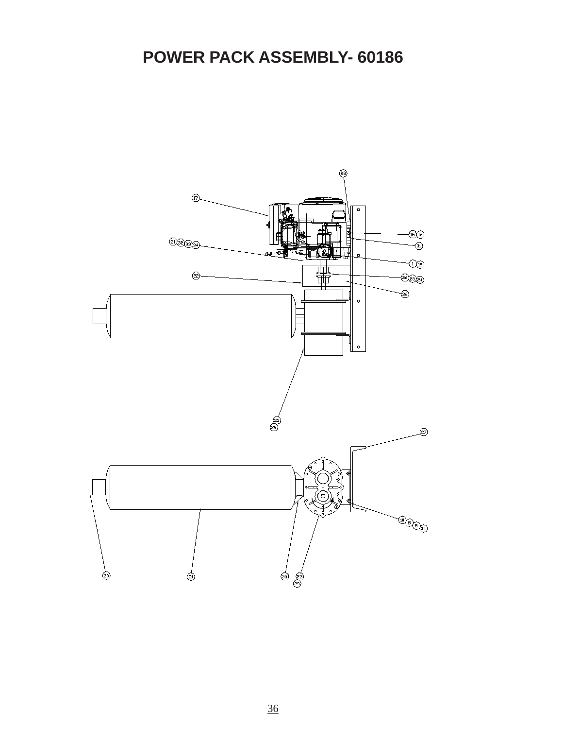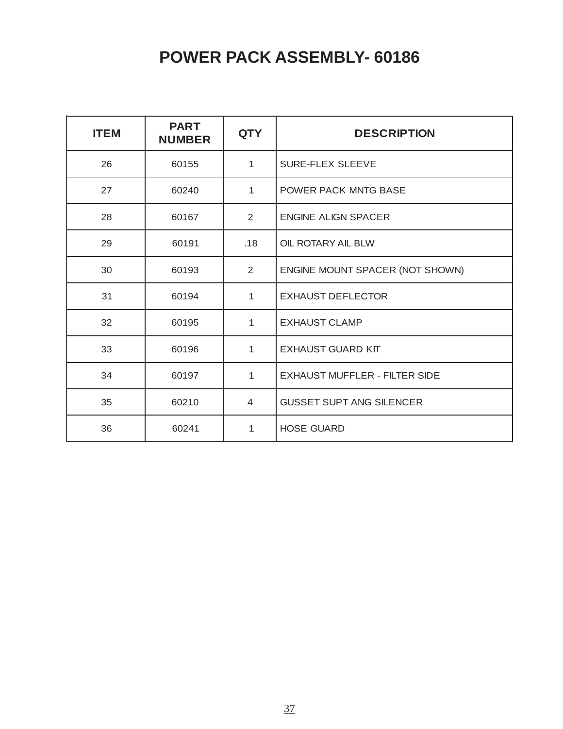| <b>ITEM</b> | <b>PART</b><br><b>NUMBER</b> | <b>QTY</b>     | <b>DESCRIPTION</b>                   |
|-------------|------------------------------|----------------|--------------------------------------|
| 26          | 60155                        | 1              | SURE-FLEX SLEEVE                     |
| 27          | 60240                        | $\mathbf{1}$   | <b>POWER PACK MNTG BASE</b>          |
| 28          | 60167                        | 2              | <b>ENGINE ALIGN SPACER</b>           |
| 29          | 60191                        | .18            | OIL ROTARY AIL BLW                   |
| 30          | 60193                        | $\overline{2}$ | ENGINE MOUNT SPACER (NOT SHOWN)      |
| 31          | 60194                        | $\mathbf{1}$   | <b>EXHAUST DEFLECTOR</b>             |
| 32          | 60195                        | $\mathbf{1}$   | <b>EXHAUST CLAMP</b>                 |
| 33          | 60196                        | $\mathbf{1}$   | <b>EXHAUST GUARD KIT</b>             |
| 34          | 60197                        | $\mathbf{1}$   | <b>EXHAUST MUFFLER - FILTER SIDE</b> |
| 35          | 60210                        | $\overline{4}$ | <b>GUSSET SUPT ANG SILENCER</b>      |
| 36          | 60241                        | 1              | <b>HOSE GUARD</b>                    |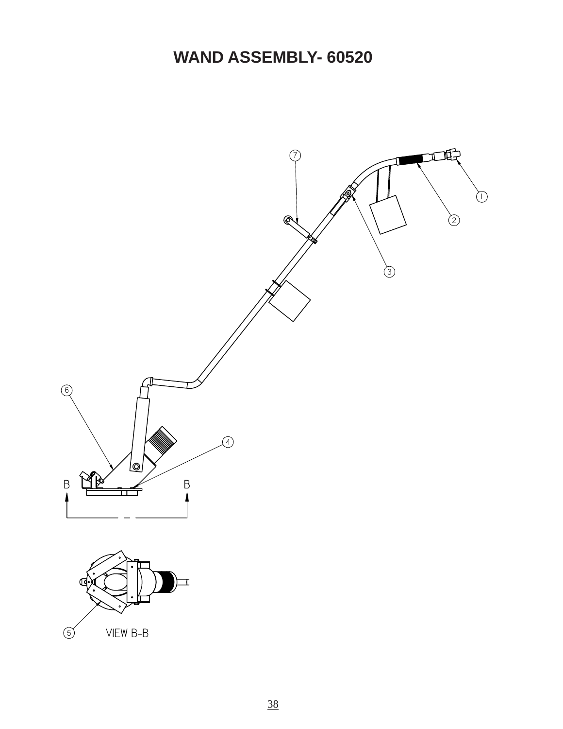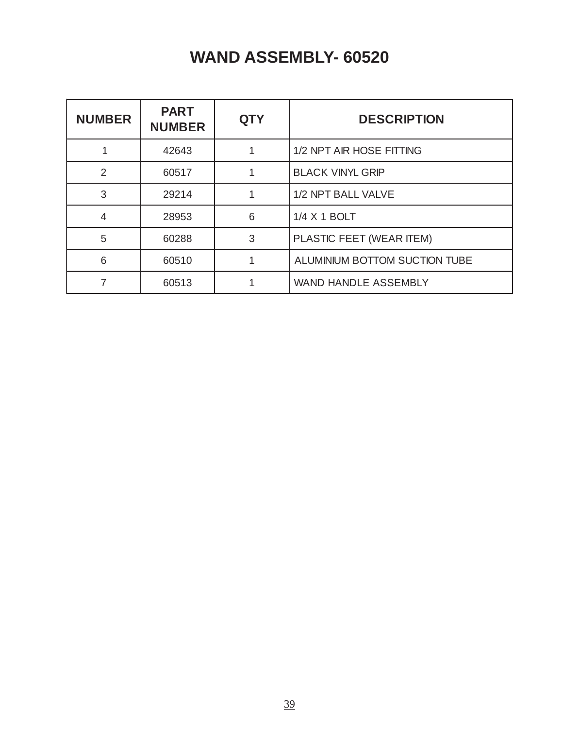#### **WAND ASSEMBLY- 60520**

| <b>NUMBER</b>  | <b>PART</b><br><b>NUMBER</b> | <b>QTY</b> | <b>DESCRIPTION</b>            |
|----------------|------------------------------|------------|-------------------------------|
|                | 42643                        |            | 1/2 NPT AIR HOSE FITTING      |
| $\overline{2}$ | 60517                        |            | <b>BLACK VINYL GRIP</b>       |
| 3              | 29214                        |            | 1/2 NPT BALL VALVE            |
| $\overline{4}$ | 28953                        | 6          | 1/4 X 1 BOLT                  |
| 5              | 60288                        | 3          | PLASTIC FEET (WEAR ITEM)      |
| 6              | 60510                        |            | ALUMINIUM BOTTOM SUCTION TUBE |
|                | 60513                        |            | <b>WAND HANDLE ASSEMBLY</b>   |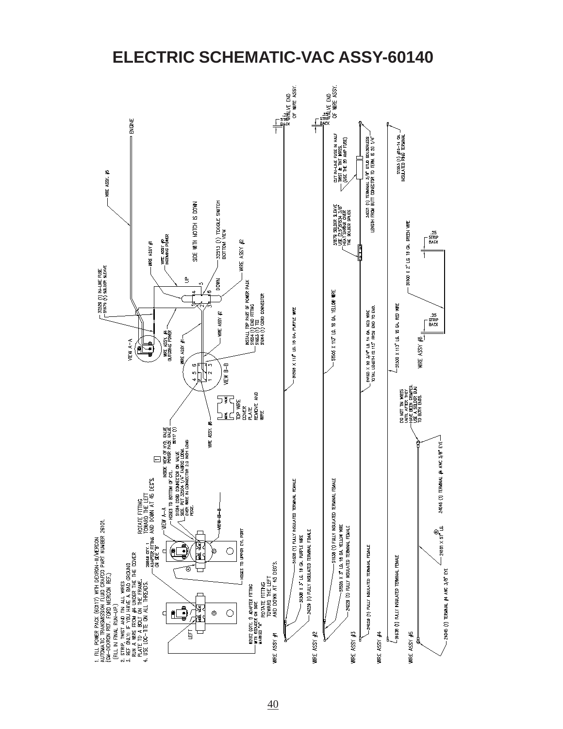#### **ELECTRIC SCHEMATIC-VAC ASSY-60140**